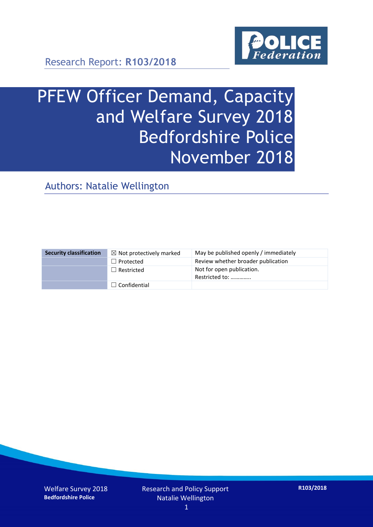

Research Report: **R103/2018**

# PFEW Officer Demand, Capacity and Welfare Survey 2018 Bedfordshire Police November 2018

Authors: Natalie Wellington

| <b>Security classification</b> | $\boxtimes$ Not protectively marked | May be published openly / immediately       |
|--------------------------------|-------------------------------------|---------------------------------------------|
|                                | $\Box$ Protected                    | Review whether broader publication          |
|                                | $\Box$ Restricted                   | Not for open publication.<br>Restricted to: |
|                                | $\Box$ Confidential                 |                                             |

Welfare Survey 2018 **Bedfordshire Police**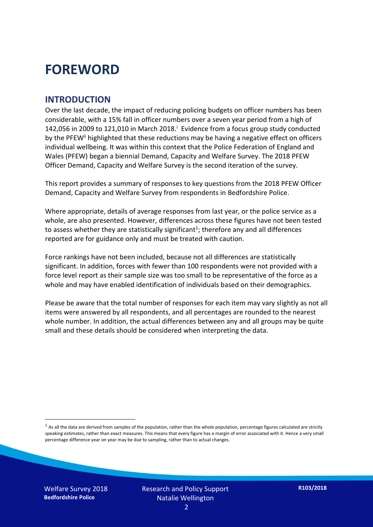### **FOREWORD**

#### **INTRODUCTION**

Over the last decade, the impact of reducing policing budgets on officer numbers has been considerable, with a 15% fall in officer numbers over a seven year period from a high of 142,056 in 2009 to 121,010 in March 2018. $^{\mathrm{i}}$  Evidence from a focus group study conducted by the PFEW<sup>ii</sup> highlighted that these reductions may be having a negative effect on officers individual wellbeing. It was within this context that the Police Federation of England and Wales (PFEW) began a biennial Demand, Capacity and Welfare Survey. The 2018 PFEW Officer Demand, Capacity and Welfare Survey is the second iteration of the survey.

This report provides a summary of responses to key questions from the 2018 PFEW Officer Demand, Capacity and Welfare Survey from respondents in Bedfordshire Police.

Where appropriate, details of average responses from last year, or the police service as a whole, are also presented. However, differences across these figures have not been tested to assess whether they are statistically significant<sup>1</sup>; therefore any and all differences reported are for guidance only and must be treated with caution.

Force rankings have not been included, because not all differences are statistically significant. In addition, forces with fewer than 100 respondents were not provided with a force level report as their sample size was too small to be representative of the force as a whole and may have enabled identification of individuals based on their demographics.

Please be aware that the total number of responses for each item may vary slightly as not all items were answered by all respondents, and all percentages are rounded to the nearest whole number. In addition, the actual differences between any and all groups may be quite small and these details should be considered when interpreting the data.

Welfare Survey 2018 **Bedfordshire Police**

-

 $<sup>1</sup>$  As all the data are derived from samples of the population, rather than the whole population, percentage figures calculated are strictly</sup> speaking estimates, rather than exact measures. This means that every figure has a margin of error associated with it. Hence a very small percentage difference year on year may be due to sampling, rather than to actual changes.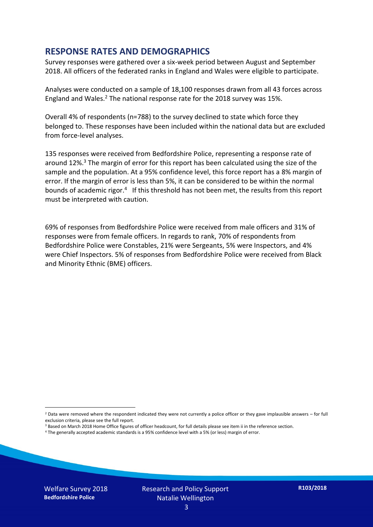#### **RESPONSE RATES AND DEMOGRAPHICS**

Survey responses were gathered over a six-week period between August and September 2018. All officers of the federated ranks in England and Wales were eligible to participate.

Analyses were conducted on a sample of 18,100 responses drawn from all 43 forces across England and Wales.<sup>2</sup> The national response rate for the 2018 survey was 15%.

Overall 4% of respondents (n=788) to the survey declined to state which force they belonged to. These responses have been included within the national data but are excluded from force-level analyses.

135 responses were received from Bedfordshire Police, representing a response rate of around 12%.<sup>3</sup> The margin of error for this report has been calculated using the size of the sample and the population. At a 95% confidence level, this force report has a 8% margin of error. If the margin of error is less than 5%, it can be considered to be within the normal bounds of academic rigor.<sup>4</sup> If this threshold has not been met, the results from this report must be interpreted with caution.

69% of responses from Bedfordshire Police were received from male officers and 31% of responses were from female officers. In regards to rank, 70% of respondents from Bedfordshire Police were Constables, 21% were Sergeants, 5% were Inspectors, and 4% were Chief Inspectors. 5% of responses from Bedfordshire Police were received from Black and Minority Ethnic (BME) officers.

-

 $2$  Data were removed where the respondent indicated they were not currently a police officer or they gave implausible answers – for full exclusion criteria, please see the full report.

<sup>3</sup> Based on March 2018 Home Office figures of officer headcount, for full details please see item ii in the reference section.

<sup>4</sup> The generally accepted academic standards is a 95% confidence level with a 5% (or less) margin of error.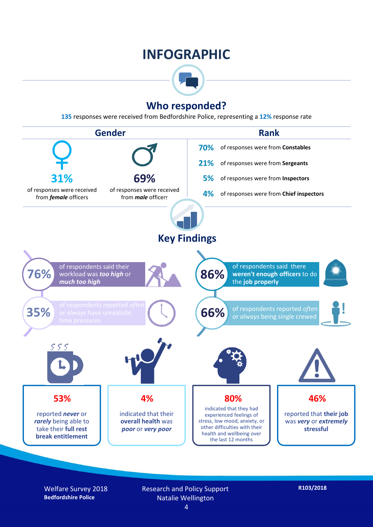### **INFOGRAPHIC**



#### **Who responded?**

**135** responses were received from Bedfordshire Police, representing a **12%** response rate



Welfare Survey 2018 **Bedfordshire Police**

Research and Policy Support Natalie Wellington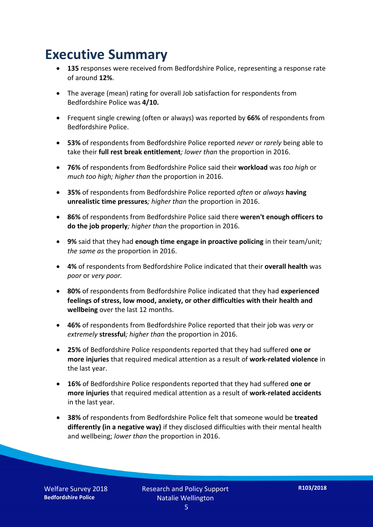### **Executive Summary**

- **135** responses were received from Bedfordshire Police, representing a response rate of around **12%**.
- The average (mean) rating for overall Job satisfaction for respondents from Bedfordshire Police was **4/10.**
- Frequent single crewing (often or always) was reported by **66%** of respondents from Bedfordshire Police.
- **53%** of respondents from Bedfordshire Police reported *never* or *rarely* being able to take their **full rest break entitlement***; lower than* the proportion in 2016.
- **76%** of respondents from Bedfordshire Police said their **workload** was *too high* or *much too high; higher than* the proportion in 2016.
- **35%** of respondents from Bedfordshire Police reported *often* or *always* **having unrealistic time pressures***; higher than* the proportion in 2016.
- **86%** of respondents from Bedfordshire Police said there **weren't enough officers to do the job properly***; higher than* the proportion in 2016.
- **9%** said that they had **enough time engage in proactive policing** in their team/unit*; the same as* the proportion in 2016.
- **4%** of respondents from Bedfordshire Police indicated that their **overall health** was *poor* or *very poor.*
- **80%** of respondents from Bedfordshire Police indicated that they had **experienced feelings of stress, low mood, anxiety, or other difficulties with their health and wellbeing** over the last 12 months.
- **46%** of respondents from Bedfordshire Police reported that their job was *very* or *extremely* **stressful***; higher than* the proportion in 2016.
- **25%** of Bedfordshire Police respondents reported that they had suffered **one or more injuries** that required medical attention as a result of **work-related violence** in the last year.
- **16%** of Bedfordshire Police respondents reported that they had suffered **one or more injuries** that required medical attention as a result of **work-related accidents**  in the last year.
- **38%** of respondents from Bedfordshire Police felt that someone would be **treated differently (in a negative way)** if they disclosed difficulties with their mental health and wellbeing; *lower than* the proportion in 2016.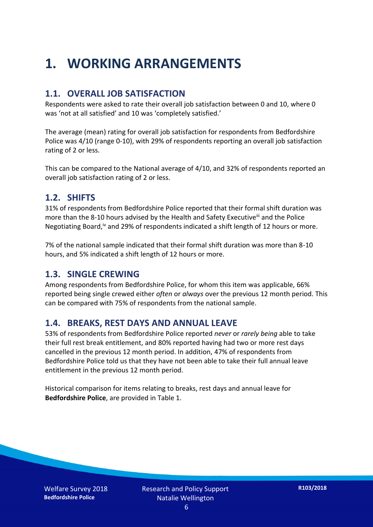### **1. WORKING ARRANGEMENTS**

#### **1.1. OVERALL JOB SATISFACTION**

Respondents were asked to rate their overall job satisfaction between 0 and 10, where 0 was 'not at all satisfied' and 10 was 'completely satisfied.'

The average (mean) rating for overall job satisfaction for respondents from Bedfordshire Police was 4/10 (range 0-10), with 29% of respondents reporting an overall job satisfaction rating of 2 or less.

This can be compared to the National average of 4/10, and 32% of respondents reported an overall job satisfaction rating of 2 or less.

#### **1.2. SHIFTS**

31% of respondents from Bedfordshire Police reported that their formal shift duration was more than the 8-10 hours advised by the Health and Safety Executive<sup>iii</sup> and the Police Negotiating Board,iv and 29% of respondents indicated a shift length of 12 hours or more.

7% of the national sample indicated that their formal shift duration was more than 8-10 hours, and 5% indicated a shift length of 12 hours or more.

#### **1.3. SINGLE CREWING**

Among respondents from Bedfordshire Police, for whom this item was applicable, 66% reported being single crewed either *often* or *always* over the previous 12 month period. This can be compared with 75% of respondents from the national sample.

#### **1.4. BREAKS, REST DAYS AND ANNUAL LEAVE**

53% of respondents from Bedfordshire Police reported *never* or *rarely being* able to take their full rest break entitlement, and 80% reported having had two or more rest days cancelled in the previous 12 month period. In addition, 47% of respondents from Bedfordshire Police told us that they have not been able to take their full annual leave entitlement in the previous 12 month period.

Historical comparison for items relating to breaks, rest days and annual leave for **Bedfordshire Police**, are provided in Table 1.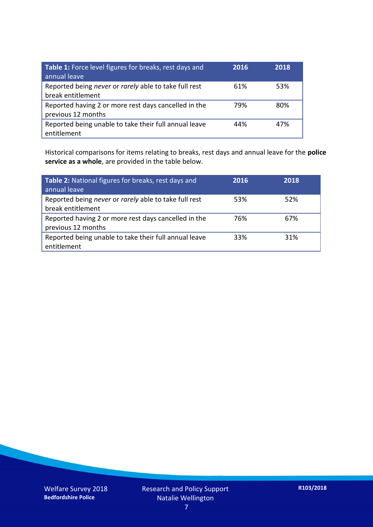| Table 1: Force level figures for breaks, rest days and<br>annual leave     | 2016 | 2018 |
|----------------------------------------------------------------------------|------|------|
| Reported being never or rarely able to take full rest<br>break entitlement | 61%  | 53%  |
| Reported having 2 or more rest days cancelled in the<br>previous 12 months | 79%  | 80%  |
| Reported being unable to take their full annual leave<br>entitlement       | 44%  | 47%  |

Historical comparisons for items relating to breaks, rest days and annual leave for the **police service as a whole**, are provided in the table below.

| Table 2: National figures for breaks, rest days and<br>annual leave        | 2016 | 2018 |
|----------------------------------------------------------------------------|------|------|
| Reported being never or rarely able to take full rest<br>break entitlement | 53%  | 52%  |
| Reported having 2 or more rest days cancelled in the<br>previous 12 months | 76%  | 67%  |
| Reported being unable to take their full annual leave<br>entitlement       | 33%  | 31%  |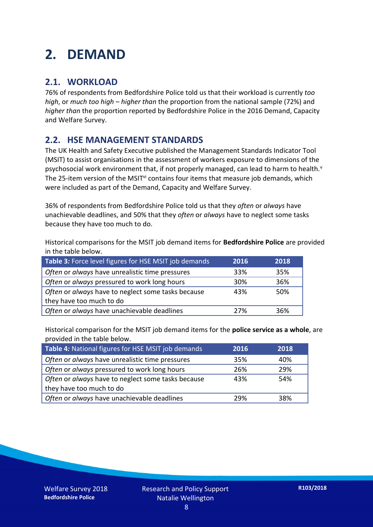### **2. DEMAND**

#### **2.1. WORKLOAD**

76% of respondents from Bedfordshire Police told us that their workload is currently *too high*, or *much too high* – *higher than* the proportion from the national sample (72%) and *higher than* the proportion reported by Bedfordshire Police in the 2016 Demand, Capacity and Welfare Survey.

#### **2.2. HSE MANAGEMENT STANDARDS**

The UK Health and Safety Executive published the Management Standards Indicator Tool (MSIT) to assist organisations in the assessment of workers exposure to dimensions of the psychosocial work environment that, if not properly managed, can lead to harm to health.<sup>v</sup> The 25-item version of the MSIT<sup>vi</sup> contains four items that measure job demands, which were included as part of the Demand, Capacity and Welfare Survey.

36% of respondents from Bedfordshire Police told us that they *often* or *always* have unachievable deadlines, and 50% that they *often* or *always* have to neglect some tasks because they have too much to do.

Historical comparisons for the MSIT job demand items for **Bedfordshire Police** are provided in the table below.

| Table 3: Force level figures for HSE MSIT job demands | 2016 | 2018 |
|-------------------------------------------------------|------|------|
| Often or always have unrealistic time pressures       | 33%  | 35%  |
| Often or always pressured to work long hours          | 30%  | 36%  |
| Often or always have to neglect some tasks because    | 43%  | 50%  |
| they have too much to do                              |      |      |
| Often or always have unachievable deadlines           | 27%  | 36%  |

Historical comparison for the MSIT job demand items for the **police service as a whole**, are provided in the table below.

| Table 4: National figures for HSE MSIT job demands | 2016 | 2018 |
|----------------------------------------------------|------|------|
| Often or always have unrealistic time pressures    | 35%  | 40%  |
| Often or always pressured to work long hours       | 26%  | 29%  |
| Often or always have to neglect some tasks because | 43%  | 54%  |
| they have too much to do                           |      |      |
| Often or always have unachievable deadlines        | 29%  | 38%  |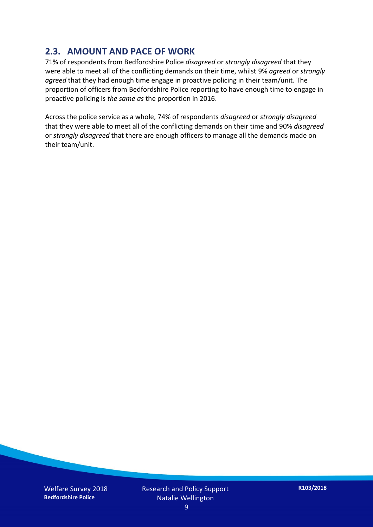#### **2.3. AMOUNT AND PACE OF WORK**

71% of respondents from Bedfordshire Police *disagreed* or *strongly disagreed* that they were able to meet all of the conflicting demands on their time, whilst 9% *agreed* or *strongly agreed* that they had enough time engage in proactive policing in their team/unit. The proportion of officers from Bedfordshire Police reporting to have enough time to engage in proactive policing is *the same as* the proportion in 2016.

Across the police service as a whole, 74% of respondents *disagreed* or *strongly disagreed* that they were able to meet all of the conflicting demands on their time and 90% *disagreed* or *strongly disagreed* that there are enough officers to manage all the demands made on their team/unit.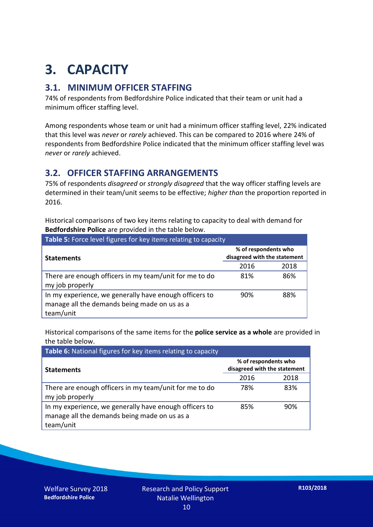## **3. CAPACITY**

#### **3.1. MINIMUM OFFICER STAFFING**

74% of respondents from Bedfordshire Police indicated that their team or unit had a minimum officer staffing level.

Among respondents whose team or unit had a minimum officer staffing level, 22% indicated that this level was *never* or *rarely* achieved. This can be compared to 2016 where 24% of respondents from Bedfordshire Police indicated that the minimum officer staffing level was *never* or *rarely* achieved.

#### **3.2. OFFICER STAFFING ARRANGEMENTS**

75% of respondents *disagreed* or *strongly disagreed* that the way officer staffing levels are determined in their team/unit seems to be effective; *higher than* the proportion reported in 2016.

Historical comparisons of two key items relating to capacity to deal with demand for **Bedfordshire Police** are provided in the table below.

| <b>Table 5:</b> Force level figures for key items relating to capacity                                              |                                                      |      |  |
|---------------------------------------------------------------------------------------------------------------------|------------------------------------------------------|------|--|
| <b>Statements</b>                                                                                                   | % of respondents who<br>disagreed with the statement |      |  |
|                                                                                                                     | 2016                                                 | 2018 |  |
| There are enough officers in my team/unit for me to do<br>my job properly                                           | 81%                                                  | 86%  |  |
| In my experience, we generally have enough officers to<br>manage all the demands being made on us as a<br>team/unit | 90%                                                  | 88%  |  |

Historical comparisons of the same items for the **police service as a whole** are provided in the table below.

| Table 6: National figures for key items relating to capacity                                                        |                                                      |      |  |  |
|---------------------------------------------------------------------------------------------------------------------|------------------------------------------------------|------|--|--|
| <b>Statements</b>                                                                                                   | % of respondents who<br>disagreed with the statement |      |  |  |
|                                                                                                                     | 2016                                                 | 2018 |  |  |
| There are enough officers in my team/unit for me to do<br>my job properly                                           | 78%                                                  | 83%  |  |  |
| In my experience, we generally have enough officers to<br>manage all the demands being made on us as a<br>team/unit | 85%                                                  | 90%  |  |  |

Welfare Survey 2018 **Bedfordshire Police**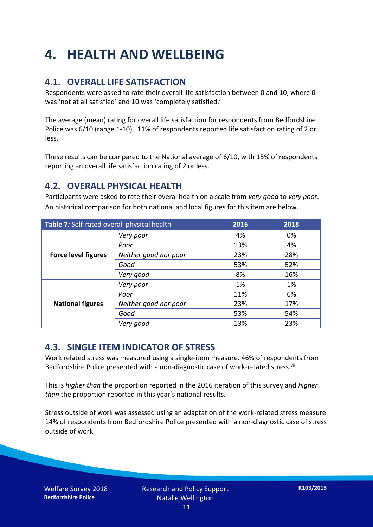### **4. HEALTH AND WELLBEING**

#### **4.1. OVERALL LIFE SATISFACTION**

Respondents were asked to rate their overall life satisfaction between 0 and 10, where 0 was 'not at all satisfied' and 10 was 'completely satisfied.'

The average (mean) rating for overall life satisfaction for respondents from Bedfordshire Police was 6/10 (range 1-10). 11% of respondents reported life satisfaction rating of 2 or less.

These results can be compared to the National average of 6/10, with 15% of respondents reporting an overall life satisfaction rating of 2 or less.

#### **4.2. OVERALL PHYSICAL HEALTH**

Participants were asked to rate their overal health on a scale from *very good* to *very poor*. An historical comparison for both national and local figures for this item are below.

| Table 7: Self-rated overall physical health |                       | 2016 | 2018 |
|---------------------------------------------|-----------------------|------|------|
| <b>Force level figures</b>                  | Very poor             | 4%   | 0%   |
|                                             | Poor                  | 13%  | 4%   |
|                                             | Neither good nor poor | 23%  | 28%  |
|                                             | Good                  | 53%  | 52%  |
|                                             | Very good             | 8%   | 16%  |
| <b>National figures</b>                     | Very poor             | 1%   | 1%   |
|                                             | Poor                  | 11%  | 6%   |
|                                             | Neither good nor poor | 23%  | 17%  |
|                                             | Good                  | 53%  | 54%  |
|                                             | Very good             | 13%  | 23%  |

#### **4.3. SINGLE ITEM INDICATOR OF STRESS**

Work related stress was measured using a single-item measure. 46% of respondents from Bedfordshire Police presented with a non-diagnostic case of work-related stress.<sup>vii</sup>

This is *higher than* the proportion reported in the 2016 iteration of this survey and *higher than* the proportion reported in this year's national results.

Stress outside of work was assessed using an adaptation of the work-related stress measure. 14% of respondents from Bedfordshire Police presented with a non-diagnostic case of stress outside of work.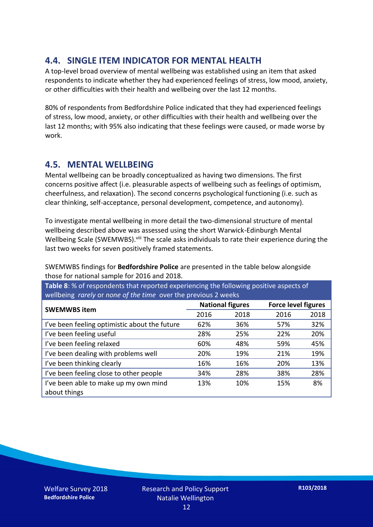#### **4.4. SINGLE ITEM INDICATOR FOR MENTAL HEALTH**

A top-level broad overview of mental wellbeing was established using an item that asked respondents to indicate whether they had experienced feelings of stress, low mood, anxiety, or other difficulties with their health and wellbeing over the last 12 months.

80% of respondents from Bedfordshire Police indicated that they had experienced feelings of stress, low mood, anxiety, or other difficulties with their health and wellbeing over the last 12 months; with 95% also indicating that these feelings were caused, or made worse by work.

#### **4.5. MENTAL WELLBEING**

Mental wellbeing can be broadly conceptualized as having two dimensions. The first concerns positive affect (i.e. pleasurable aspects of wellbeing such as feelings of optimism, cheerfulness, and relaxation). The second concerns psychological functioning (i.e. such as clear thinking, self-acceptance, personal development, competence, and autonomy).

To investigate mental wellbeing in more detail the two-dimensional structure of mental wellbeing described above was assessed using the short Warwick-Edinburgh Mental Wellbeing Scale (SWEMWBS). viii The scale asks individuals to rate their experience during the last two weeks for seven positively framed statements.

SWEMWBS findings for **Bedfordshire Police** are presented in the table below alongside those for national sample for 2016 and 2018.

**Table 8**: % of respondents that reported experiencing the following positive aspects of wellbeing *rarely* or *none of the time* over the previous 2 weeks

|                                               | <b>National figures</b> |      | <b>Force level figures</b> |      |
|-----------------------------------------------|-------------------------|------|----------------------------|------|
| <b>SWEMWBS item</b>                           | 2016                    | 2018 | 2016                       | 2018 |
| I've been feeling optimistic about the future | 62%                     | 36%  | 57%                        | 32%  |
| I've been feeling useful                      | 28%                     | 25%  | 22%                        | 20%  |
| I've been feeling relaxed                     | 60%                     | 48%  | 59%                        | 45%  |
| I've been dealing with problems well          | 20%                     | 19%  | 21%                        | 19%  |
| I've been thinking clearly                    | 16%                     | 16%  | 20%                        | 13%  |
| I've been feeling close to other people       | 34%                     | 28%  | 38%                        | 28%  |
| I've been able to make up my own mind         | 13%                     | 10%  | 15%                        | 8%   |
| about things                                  |                         |      |                            |      |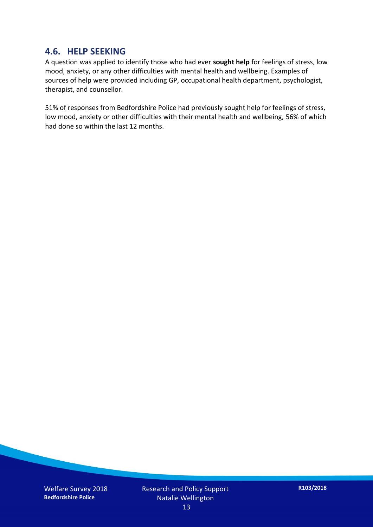#### **4.6. HELP SEEKING**

A question was applied to identify those who had ever **sought help** for feelings of stress, low mood, anxiety, or any other difficulties with mental health and wellbeing. Examples of sources of help were provided including GP, occupational health department, psychologist, therapist, and counsellor.

51% of responses from Bedfordshire Police had previously sought help for feelings of stress, low mood, anxiety or other difficulties with their mental health and wellbeing, 56% of which had done so within the last 12 months.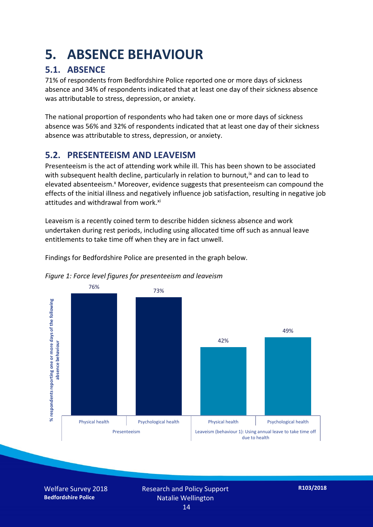### **5. ABSENCE BEHAVIOUR**

#### **5.1. ABSENCE**

71% of respondents from Bedfordshire Police reported one or more days of sickness absence and 34% of respondents indicated that at least one day of their sickness absence was attributable to stress, depression, or anxiety.

The national proportion of respondents who had taken one or more days of sickness absence was 56% and 32% of respondents indicated that at least one day of their sickness absence was attributable to stress, depression, or anxiety.

#### **5.2. PRESENTEEISM AND LEAVEISM**

Presenteeism is the act of attending work while ill. This has been shown to be associated with subsequent health decline, particularly in relation to burnout,  $\alpha$  and can to lead to elevated absenteeism.<sup>x</sup> Moreover, evidence suggests that presenteeism can compound the effects of the initial illness and negatively influence job satisfaction, resulting in negative job attitudes and withdrawal from work.<sup>xi</sup>

Leaveism is a recently coined term to describe hidden sickness absence and work undertaken during rest periods, including using allocated time off such as annual leave entitlements to take time off when they are in fact unwell.

Findings for Bedfordshire Police are presented in the graph below.





Welfare Survey 2018 **Bedfordshire Police**

Research and Policy Support Natalie Wellington 14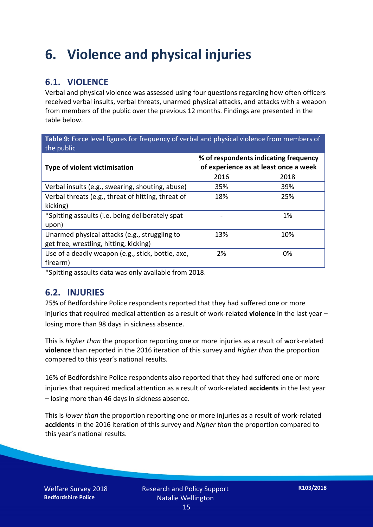### **6. Violence and physical injuries**

#### **6.1. VIOLENCE**

Verbal and physical violence was assessed using four questions regarding how often officers received verbal insults, verbal threats, unarmed physical attacks, and attacks with a weapon from members of the public over the previous 12 months. Findings are presented in the table below.

**Table 9:** Force level figures for frequency of verbal and physical violence from members of the public

| Type of violent victimisation                      | % of respondents indicating frequency<br>of experience as at least once a week |      |  |
|----------------------------------------------------|--------------------------------------------------------------------------------|------|--|
|                                                    | 2016                                                                           | 2018 |  |
| Verbal insults (e.g., swearing, shouting, abuse)   | 35%                                                                            | 39%  |  |
| Verbal threats (e.g., threat of hitting, threat of | 18%                                                                            | 25%  |  |
| kicking)                                           |                                                                                |      |  |
| *Spitting assaults (i.e. being deliberately spat   |                                                                                | 1%   |  |
| upon)                                              |                                                                                |      |  |
| Unarmed physical attacks (e.g., struggling to      | 13%                                                                            | 10%  |  |
| get free, wrestling, hitting, kicking)             |                                                                                |      |  |
| Use of a deadly weapon (e.g., stick, bottle, axe,  | 2%                                                                             | 0%   |  |
| firearm)                                           |                                                                                |      |  |

\*Spitting assaults data was only available from 2018.

#### **6.2. INJURIES**

25% of Bedfordshire Police respondents reported that they had suffered one or more injuries that required medical attention as a result of work-related **violence** in the last year – losing more than 98 days in sickness absence.

This is *higher than* the proportion reporting one or more injuries as a result of work-related **violence** than reported in the 2016 iteration of this survey and *higher than* the proportion compared to this year's national results.

16% of Bedfordshire Police respondents also reported that they had suffered one or more injuries that required medical attention as a result of work-related **accidents** in the last year – losing more than 46 days in sickness absence.

This is *lower than* the proportion reporting one or more injuries as a result of work-related **accidents** in the 2016 iteration of this survey and *higher than* the proportion compared to this year's national results.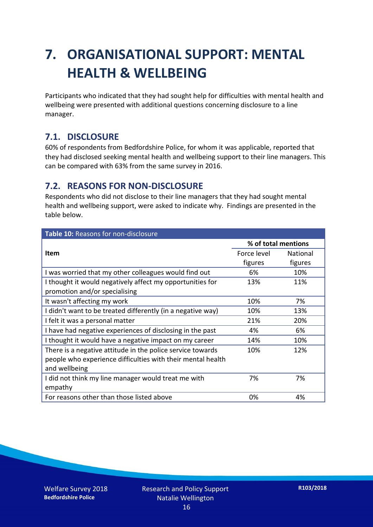### **7. ORGANISATIONAL SUPPORT: MENTAL HEALTH & WELLBEING**

Participants who indicated that they had sought help for difficulties with mental health and wellbeing were presented with additional questions concerning disclosure to a line manager.

#### **7.1. DISCLOSURE**

60% of respondents from Bedfordshire Police, for whom it was applicable, reported that they had disclosed seeking mental health and wellbeing support to their line managers. This can be compared with 63% from the same survey in 2016.

#### **7.2. REASONS FOR NON-DISCLOSURE**

Respondents who did not disclose to their line managers that they had sought mental health and wellbeing support, were asked to indicate why. Findings are presented in the table below.

| Table 10: Reasons for non-disclosure                        |                     |                 |
|-------------------------------------------------------------|---------------------|-----------------|
|                                                             | % of total mentions |                 |
| Item                                                        | Force level         | <b>National</b> |
|                                                             | figures             | figures         |
| I was worried that my other colleagues would find out       | 6%                  | 10%             |
| I thought it would negatively affect my opportunities for   | 13%                 | 11%             |
| promotion and/or specialising                               |                     |                 |
| It wasn't affecting my work                                 | 10%                 | 7%              |
| I didn't want to be treated differently (in a negative way) | 10%                 | 13%             |
| I felt it was a personal matter                             | 21%                 | 20%             |
| I have had negative experiences of disclosing in the past   | 4%                  | 6%              |
| I thought it would have a negative impact on my career      | 14%                 | 10%             |
| There is a negative attitude in the police service towards  | 10%                 | 12%             |
| people who experience difficulties with their mental health |                     |                 |
| and wellbeing                                               |                     |                 |
| I did not think my line manager would treat me with         | 7%                  | 7%              |
| empathy                                                     |                     |                 |
| For reasons other than those listed above                   | 0%                  | 4%              |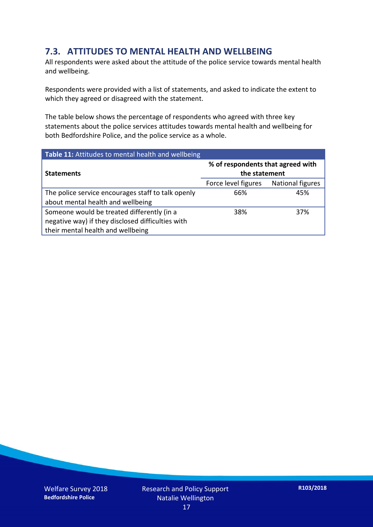#### **7.3. ATTITUDES TO MENTAL HEALTH AND WELLBEING**

All respondents were asked about the attitude of the police service towards mental health and wellbeing.

Respondents were provided with a list of statements, and asked to indicate the extent to which they agreed or disagreed with the statement.

The table below shows the percentage of respondents who agreed with three key statements about the police services attitudes towards mental health and wellbeing for both Bedfordshire Police, and the police service as a whole.

| Table 11: Attitudes to mental health and wellbeing |                                                    |                         |  |
|----------------------------------------------------|----------------------------------------------------|-------------------------|--|
| <b>Statements</b>                                  | % of respondents that agreed with<br>the statement |                         |  |
|                                                    | Force level figures                                | <b>National figures</b> |  |
| The police service encourages staff to talk openly | 66%                                                | 45%                     |  |
| about mental health and wellbeing                  |                                                    |                         |  |
| Someone would be treated differently (in a         | 38%                                                | 37%                     |  |
| negative way) if they disclosed difficulties with  |                                                    |                         |  |
| their mental health and wellbeing                  |                                                    |                         |  |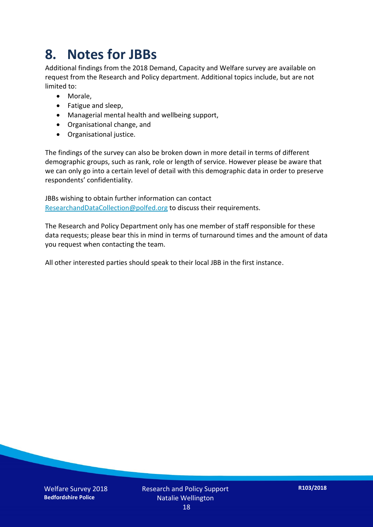### **8. Notes for JBBs**

Additional findings from the 2018 Demand, Capacity and Welfare survey are available on request from the Research and Policy department. Additional topics include, but are not limited to:

- Morale,
- Fatigue and sleep,
- Managerial mental health and wellbeing support,
- Organisational change, and
- Organisational justice.

The findings of the survey can also be broken down in more detail in terms of different demographic groups, such as rank, role or length of service. However please be aware that we can only go into a certain level of detail with this demographic data in order to preserve respondents' confidentiality.

JBBs wishing to obtain further information can contact [ResearchandDataCollection@polfed.org](mailto:ResearchandDataCollection@polfed.org) to discuss their requirements.

The Research and Policy Department only has one member of staff responsible for these data requests; please bear this in mind in terms of turnaround times and the amount of data you request when contacting the team.

All other interested parties should speak to their local JBB in the first instance.